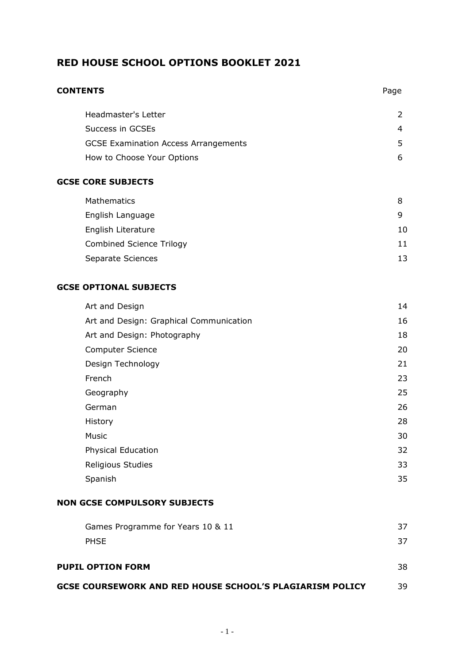# **RED HOUSE SCHOOL OPTIONS BOOKLET 2021**

| <b>CONTENTS</b>                             | Page |
|---------------------------------------------|------|
| Headmaster's Letter                         | 2    |
| Success in GCSEs                            | 4    |
| <b>GCSE Examination Access Arrangements</b> | 5    |
| How to Choose Your Options                  | 6    |
| <b>GCSE CORE SUBJECTS</b>                   |      |
| <b>Mathematics</b>                          | 8    |
| English Language                            | 9    |
| English Literature                          | 10   |
| <b>Combined Science Trilogy</b>             | 11   |
| Separate Sciences                           | 13   |
| <b>GCSE OPTIONAL SUBJECTS</b>               |      |
| Art and Design                              | 14   |
| Art and Design: Graphical Communication     | 16   |
| Art and Design: Photography                 | 18   |
| Computer Science                            | 20   |
| Design Technology                           | 21   |
| French                                      | 23   |
| Geography                                   | 25   |
| German                                      | 26   |
| History                                     | 28   |
| Music                                       | 30   |
| <b>Physical Education</b>                   | 32   |
| Religious Studies                           | 33   |

#### **NON GCSE COMPULSORY SUBJECTS**

| Games Programme for Years 10 & 11                               | 37 |
|-----------------------------------------------------------------|----|
| <b>PHSE</b>                                                     | 37 |
|                                                                 |    |
| <b>PUPIL OPTION FORM</b>                                        | 38 |
| <b>GCSE COURSEWORK AND RED HOUSE SCHOOL'S PLAGIARISM POLICY</b> | 39 |

Spanish 35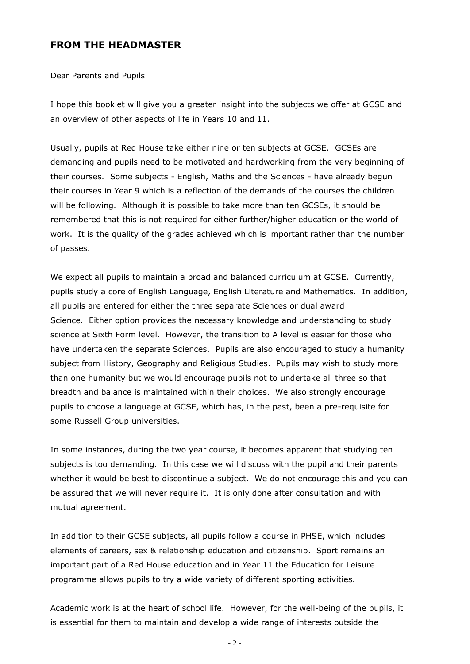# **FROM THE HEADMASTER**

Dear Parents and Pupils

I hope this booklet will give you a greater insight into the subjects we offer at GCSE and an overview of other aspects of life in Years 10 and 11.

Usually, pupils at Red House take either nine or ten subjects at GCSE. GCSEs are demanding and pupils need to be motivated and hardworking from the very beginning of their courses. Some subjects - English, Maths and the Sciences - have already begun their courses in Year 9 which is a reflection of the demands of the courses the children will be following. Although it is possible to take more than ten GCSEs, it should be remembered that this is not required for either further/higher education or the world of work. It is the quality of the grades achieved which is important rather than the number of passes.

We expect all pupils to maintain a broad and balanced curriculum at GCSE. Currently, pupils study a core of English Language, English Literature and Mathematics. In addition, all pupils are entered for either the three separate Sciences or dual award Science. Either option provides the necessary knowledge and understanding to study science at Sixth Form level. However, the transition to A level is easier for those who have undertaken the separate Sciences. Pupils are also encouraged to study a humanity subject from History, Geography and Religious Studies. Pupils may wish to study more than one humanity but we would encourage pupils not to undertake all three so that breadth and balance is maintained within their choices. We also strongly encourage pupils to choose a language at GCSE, which has, in the past, been a pre-requisite for some Russell Group universities.

In some instances, during the two year course, it becomes apparent that studying ten subjects is too demanding. In this case we will discuss with the pupil and their parents whether it would be best to discontinue a subject. We do not encourage this and you can be assured that we will never require it. It is only done after consultation and with mutual agreement.

In addition to their GCSE subjects, all pupils follow a course in PHSE, which includes elements of careers, sex & relationship education and citizenship. Sport remains an important part of a Red House education and in Year 11 the Education for Leisure programme allows pupils to try a wide variety of different sporting activities.

Academic work is at the heart of school life. However, for the well-being of the pupils, it is essential for them to maintain and develop a wide range of interests outside the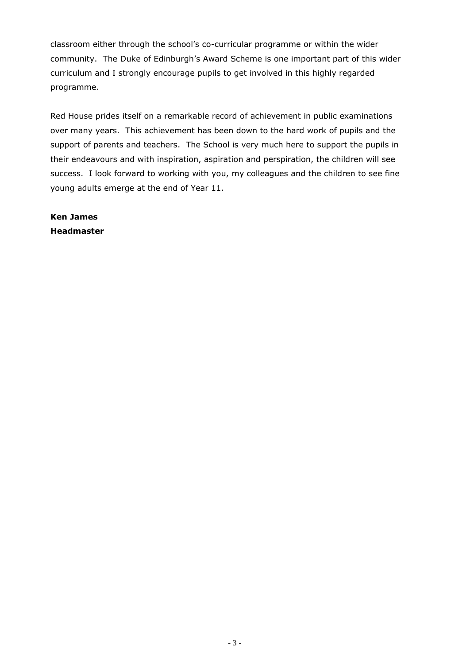classroom either through the school's co-curricular programme or within the wider community. The Duke of Edinburgh's Award Scheme is one important part of this wider curriculum and I strongly encourage pupils to get involved in this highly regarded programme.

Red House prides itself on a remarkable record of achievement in public examinations over many years. This achievement has been down to the hard work of pupils and the support of parents and teachers. The School is very much here to support the pupils in their endeavours and with inspiration, aspiration and perspiration, the children will see success. I look forward to working with you, my colleagues and the children to see fine young adults emerge at the end of Year 11.

**Ken James Headmaster**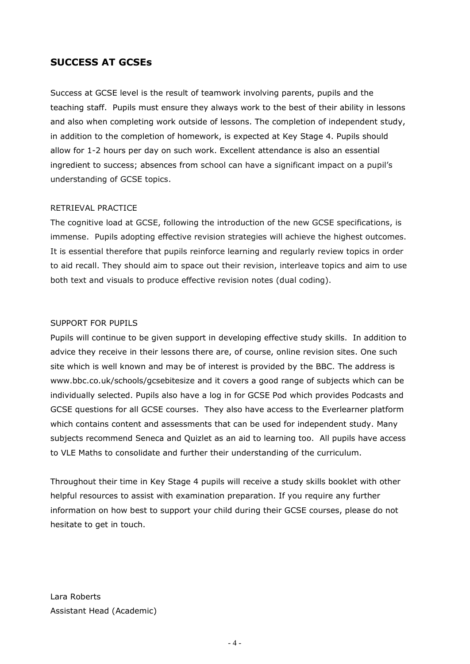## **SUCCESS AT GCSEs**

Success at GCSE level is the result of teamwork involving parents, pupils and the teaching staff. Pupils must ensure they always work to the best of their ability in lessons and also when completing work outside of lessons. The completion of independent study, in addition to the completion of homework, is expected at Key Stage 4. Pupils should allow for 1-2 hours per day on such work. Excellent attendance is also an essential ingredient to success; absences from school can have a significant impact on a pupil's understanding of GCSE topics.

#### RETRIEVAL PRACTICE

The cognitive load at GCSE, following the introduction of the new GCSE specifications, is immense. Pupils adopting effective revision strategies will achieve the highest outcomes. It is essential therefore that pupils reinforce learning and regularly review topics in order to aid recall. They should aim to space out their revision, interleave topics and aim to use both text and visuals to produce effective revision notes (dual coding).

#### SUPPORT FOR PUPILS

Pupils will continue to be given support in developing effective study skills. In addition to advice they receive in their lessons there are, of course, online revision sites. One such site which is well known and may be of interest is provided by the BBC. The address is www.bbc.co.uk/schools/gcsebitesize and it covers a good range of subjects which can be individually selected. Pupils also have a log in for GCSE Pod which provides Podcasts and GCSE questions for all GCSE courses. They also have access to the Everlearner platform which contains content and assessments that can be used for independent study. Many subjects recommend Seneca and Quizlet as an aid to learning too. All pupils have access to VLE Maths to consolidate and further their understanding of the curriculum.

Throughout their time in Key Stage 4 pupils will receive a study skills booklet with other helpful resources to assist with examination preparation. If you require any further information on how best to support your child during their GCSE courses, please do not hesitate to get in touch.

Lara Roberts Assistant Head (Academic)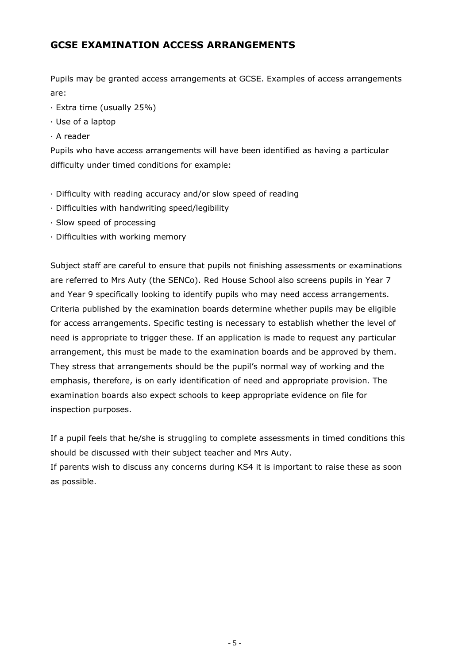# **GCSE EXAMINATION ACCESS ARRANGEMENTS**

Pupils may be granted access arrangements at GCSE. Examples of access arrangements are:

- · Extra time (usually 25%)
- · Use of a laptop
- · A reader

Pupils who have access arrangements will have been identified as having a particular difficulty under timed conditions for example:

- · Difficulty with reading accuracy and/or slow speed of reading
- · Difficulties with handwriting speed/legibility
- · Slow speed of processing
- · Difficulties with working memory

Subject staff are careful to ensure that pupils not finishing assessments or examinations are referred to Mrs Auty (the SENCo). Red House School also screens pupils in Year 7 and Year 9 specifically looking to identify pupils who may need access arrangements. Criteria published by the examination boards determine whether pupils may be eligible for access arrangements. Specific testing is necessary to establish whether the level of need is appropriate to trigger these. If an application is made to request any particular arrangement, this must be made to the examination boards and be approved by them. They stress that arrangements should be the pupil's normal way of working and the emphasis, therefore, is on early identification of need and appropriate provision. The examination boards also expect schools to keep appropriate evidence on file for inspection purposes.

If a pupil feels that he/she is struggling to complete assessments in timed conditions this should be discussed with their subject teacher and Mrs Auty.

If parents wish to discuss any concerns during KS4 it is important to raise these as soon as possible.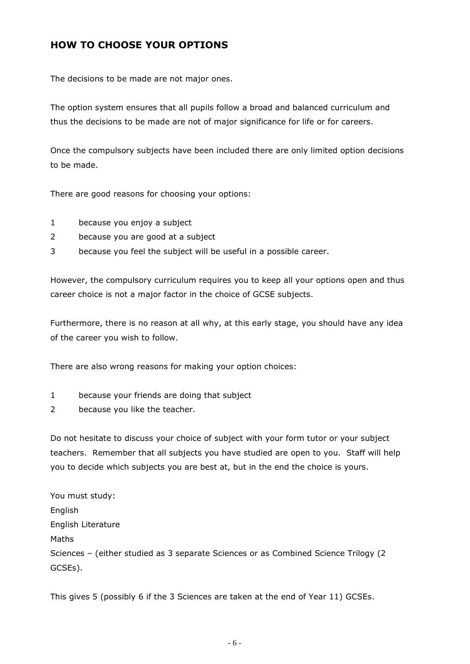# **HOW TO CHOOSE YOUR OPTIONS**

The decisions to be made are not major ones.

The option system ensures that all pupils follow a broad and balanced curriculum and thus the decisions to be made are not of major significance for life or for careers.

Once the compulsory subjects have been included there are only limited option decisions to be made.

There are good reasons for choosing your options:

- 1 because you enjoy a subject
- 2 because you are good at a subject
- 3 because you feel the subject will be useful in a possible career.

However, the compulsory curriculum requires you to keep all your options open and thus career choice is not a major factor in the choice of GCSE subjects.

Furthermore, there is no reason at all why, at this early stage, you should have any idea of the career you wish to follow.

There are also wrong reasons for making your option choices:

- 1 because your friends are doing that subject
- 2 because you like the teacher.

Do not hesitate to discuss your choice of subject with your form tutor or your subject teachers. Remember that all subjects you have studied are open to you. Staff will help you to decide which subjects you are best at, but in the end the choice is yours.

You must study: English English Literature Maths Sciences – (either studied as 3 separate Sciences or as Combined Science Trilogy (2 GCSEs).

This gives 5 (possibly 6 if the 3 Sciences are taken at the end of Year 11) GCSEs.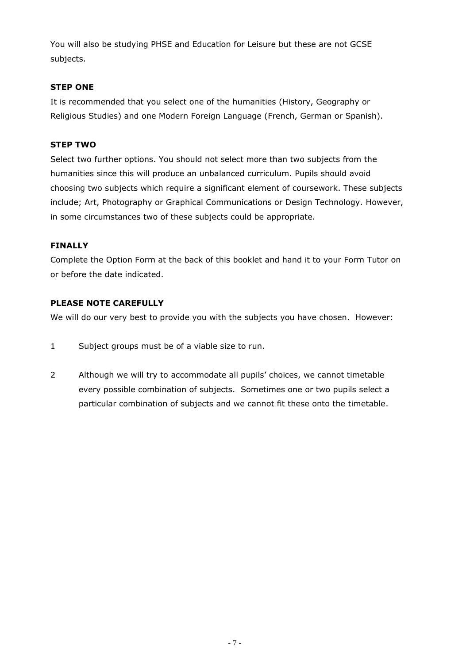You will also be studying PHSE and Education for Leisure but these are not GCSE subjects.

## **STEP ONE**

It is recommended that you select one of the humanities (History, Geography or Religious Studies) and one Modern Foreign Language (French, German or Spanish).

## **STEP TWO**

Select two further options. You should not select more than two subjects from the humanities since this will produce an unbalanced curriculum. Pupils should avoid choosing two subjects which require a significant element of coursework. These subjects include; Art, Photography or Graphical Communications or Design Technology. However, in some circumstances two of these subjects could be appropriate.

## **FINALLY**

Complete the Option Form at the back of this booklet and hand it to your Form Tutor on or before the date indicated.

## **PLEASE NOTE CAREFULLY**

We will do our very best to provide you with the subjects you have chosen. However:

- 1 Subject groups must be of a viable size to run.
- 2 Although we will try to accommodate all pupils' choices, we cannot timetable every possible combination of subjects. Sometimes one or two pupils select a particular combination of subjects and we cannot fit these onto the timetable.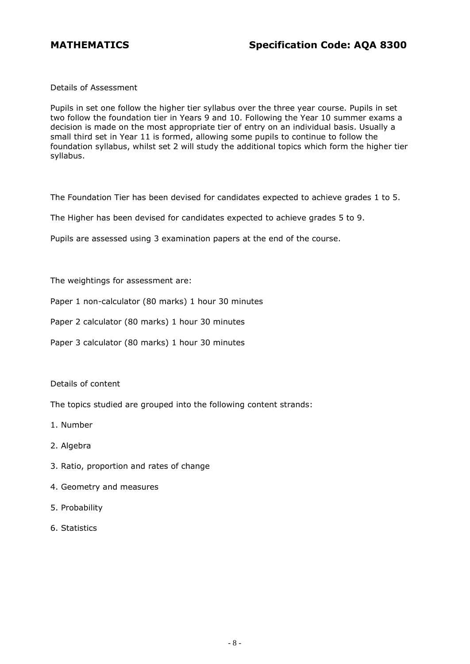Details of Assessment

Pupils in set one follow the higher tier syllabus over the three year course. Pupils in set two follow the foundation tier in Years 9 and 10. Following the Year 10 summer exams a decision is made on the most appropriate tier of entry on an individual basis. Usually a small third set in Year 11 is formed, allowing some pupils to continue to follow the foundation syllabus, whilst set 2 will study the additional topics which form the higher tier syllabus.

The Foundation Tier has been devised for candidates expected to achieve grades 1 to 5.

The Higher has been devised for candidates expected to achieve grades 5 to 9.

Pupils are assessed using 3 examination papers at the end of the course.

The weightings for assessment are:

Paper 1 non-calculator (80 marks) 1 hour 30 minutes

Paper 2 calculator (80 marks) 1 hour 30 minutes

Paper 3 calculator (80 marks) 1 hour 30 minutes

Details of content

The topics studied are grouped into the following content strands:

- 1. Number
- 2. Algebra
- 3. Ratio, proportion and rates of change
- 4. Geometry and measures
- 5. Probability
- 6. Statistics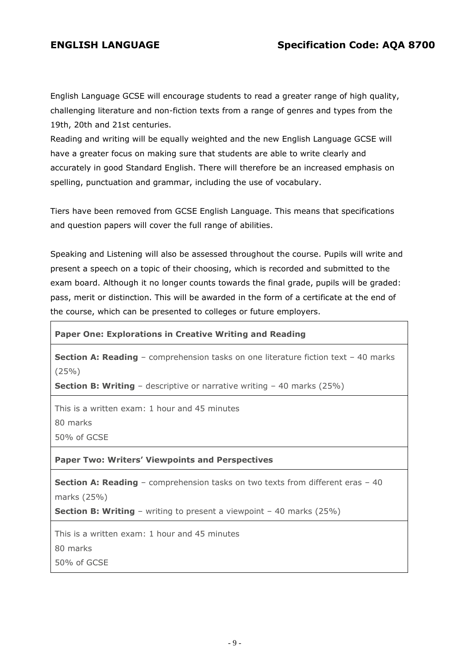English Language GCSE will encourage students to read a greater range of high quality, challenging literature and non-fiction texts from a range of genres and types from the 19th, 20th and 21st centuries.

Reading and writing will be equally weighted and the new English Language GCSE will have a greater focus on making sure that students are able to write clearly and accurately in good Standard English. There will therefore be an increased emphasis on spelling, punctuation and grammar, including the use of vocabulary.

Tiers have been removed from GCSE English Language. This means that specifications and question papers will cover the full range of abilities.

Speaking and Listening will also be assessed throughout the course. Pupils will write and present a speech on a topic of their choosing, which is recorded and submitted to the exam board. Although it no longer counts towards the final grade, pupils will be graded: pass, merit or distinction. This will be awarded in the form of a certificate at the end of the course, which can be presented to colleges or future employers.

#### **Paper One: Explorations in Creative Writing and Reading**

**Section A: Reading** – comprehension tasks on one literature fiction text – 40 marks (25%)

**Section B: Writing** – descriptive or narrative writing – 40 marks (25%)

This is a written exam: 1 hour and 45 minutes

80 marks

50% of GCSE

**Paper Two: Writers' Viewpoints and Perspectives**

**Section A: Reading** – comprehension tasks on two texts from different eras – 40 marks (25%)

**Section B: Writing** – writing to present a viewpoint – 40 marks (25%)

This is a written exam: 1 hour and 45 minutes

80 marks

50% of GCSE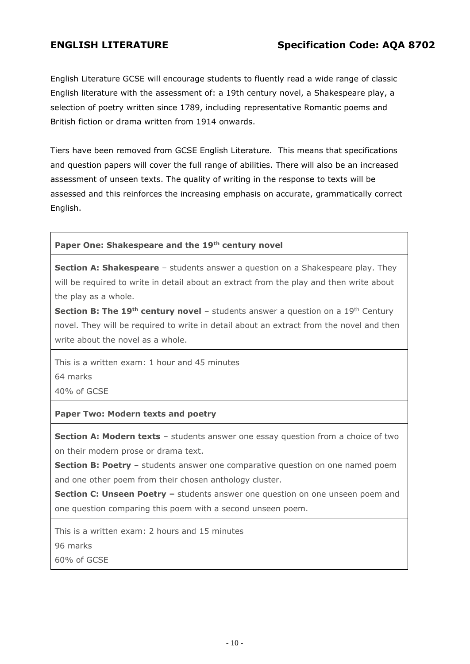English Literature GCSE will encourage students to fluently read a wide range of classic English literature with the assessment of: a 19th century novel, a Shakespeare play, a selection of poetry written since 1789, including representative Romantic poems and British fiction or drama written from 1914 onwards.

Tiers have been removed from GCSE English Literature. This means that specifications and question papers will cover the full range of abilities. There will also be an increased assessment of unseen texts. The quality of writing in the response to texts will be assessed and this reinforces the increasing emphasis on accurate, grammatically correct English.

## **Paper One: Shakespeare and the 19th century novel**

**Section A: Shakespeare** – students answer a question on a Shakespeare play. They will be required to write in detail about an extract from the play and then write about the play as a whole.

**Section B: The 19<sup>th</sup> century novel** – students answer a question on a 19<sup>th</sup> Century novel. They will be required to write in detail about an extract from the novel and then write about the novel as a whole.

This is a written exam: 1 hour and 45 minutes

64 marks

40% of GCSE

#### **Paper Two: Modern texts and poetry**

**Section A: Modern texts** – students answer one essay question from a choice of two on their modern prose or drama text.

**Section B: Poetry** – students answer one comparative question on one named poem and one other poem from their chosen anthology cluster.

**Section C: Unseen Poetry –** students answer one question on one unseen poem and one question comparing this poem with a second unseen poem.

This is a written exam: 2 hours and 15 minutes

96 marks

60% of GCSE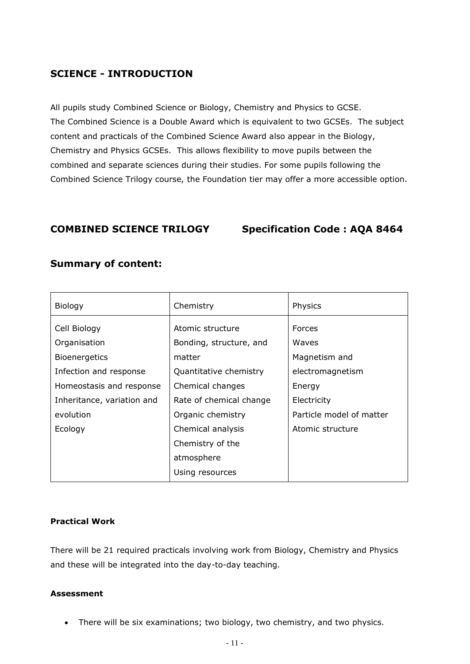# **SCIENCE - INTRODUCTION**

All pupils study Combined Science or Biology, Chemistry and Physics to GCSE. The Combined Science is a Double Award which is equivalent to two GCSEs. The subject content and practicals of the Combined Science Award also appear in the Biology, Chemistry and Physics GCSEs. This allows flexibility to move pupils between the combined and separate sciences during their studies. For some pupils following the Combined Science Trilogy course, the Foundation tier may offer a more accessible option.

**COMBINED SCIENCE TRILOGY Specification Code : AQA 8464**

| Biology                      | Chemistry                                   | Physics                  |
|------------------------------|---------------------------------------------|--------------------------|
| Cell Biology<br>Organisation | Atomic structure<br>Bonding, structure, and | <b>Forces</b><br>Waves   |
| <b>Bioenergetics</b>         | matter                                      | Magnetism and            |
| Infection and response       | Quantitative chemistry                      | electromagnetism         |
| Homeostasis and response     | Chemical changes                            | Energy                   |
| Inheritance, variation and   | Rate of chemical change                     | Electricity              |
| evolution                    | Organic chemistry                           | Particle model of matter |
| Ecology                      | Chemical analysis                           | Atomic structure         |
|                              | Chemistry of the                            |                          |
|                              | atmosphere                                  |                          |
|                              | Using resources                             |                          |

## **Summary of content:**

#### **Practical Work**

There will be 21 required practicals involving work from Biology, Chemistry and Physics and these will be integrated into the day-to-day teaching.

#### **Assessment**

There will be six examinations; two biology, two chemistry, and two physics.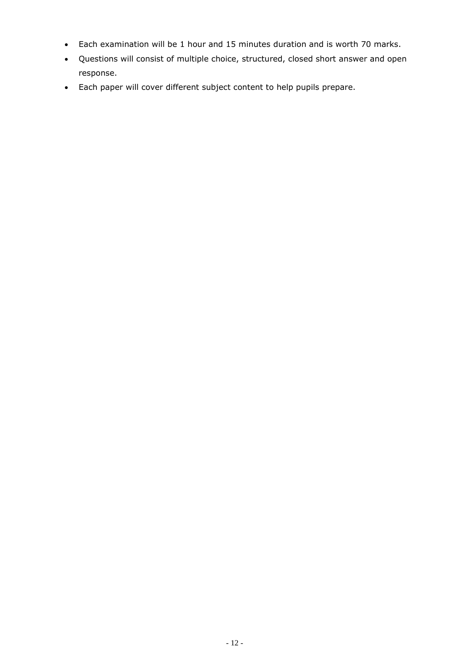- Each examination will be 1 hour and 15 minutes duration and is worth 70 marks.
- Questions will consist of multiple choice, structured, closed short answer and open response.
- Each paper will cover different subject content to help pupils prepare.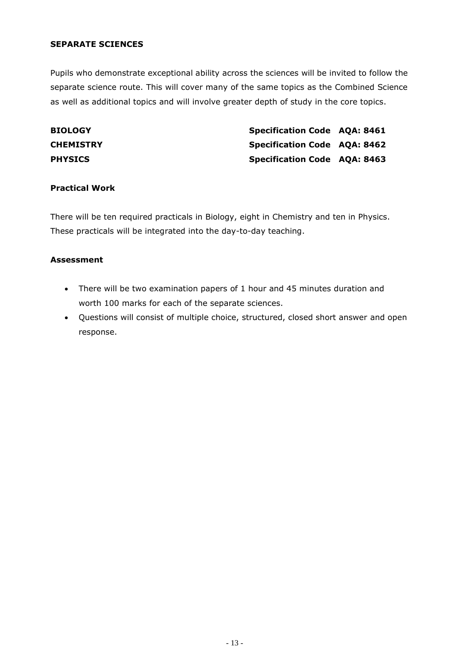#### **SEPARATE SCIENCES**

Pupils who demonstrate exceptional ability across the sciences will be invited to follow the separate science route. This will cover many of the same topics as the Combined Science as well as additional topics and will involve greater depth of study in the core topics.

| <b>BIOLOGY</b>   | <b>Specification Code AQA: 8461</b> |  |
|------------------|-------------------------------------|--|
| <b>CHEMISTRY</b> | <b>Specification Code AQA: 8462</b> |  |
| <b>PHYSICS</b>   | <b>Specification Code AQA: 8463</b> |  |

#### **Practical Work**

There will be ten required practicals in Biology, eight in Chemistry and ten in Physics. These practicals will be integrated into the day-to-day teaching.

#### **Assessment**

- There will be two examination papers of 1 hour and 45 minutes duration and worth 100 marks for each of the separate sciences.
- Questions will consist of multiple choice, structured, closed short answer and open response.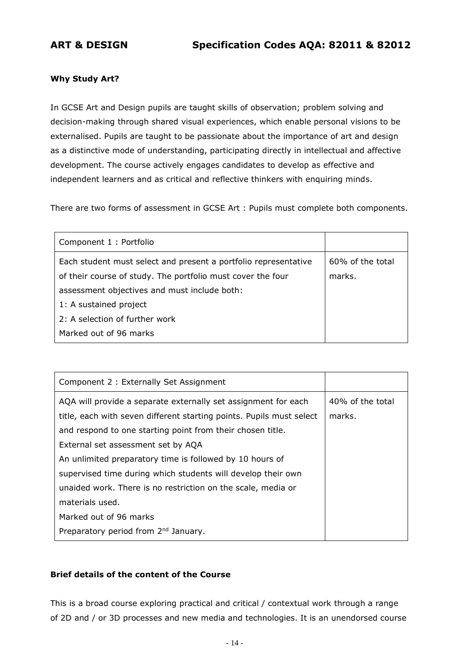### **Why Study Art?**

In GCSE Art and Design pupils are taught skills of observation; problem solving and decision-making through shared visual experiences, which enable personal visions to be externalised. Pupils are taught to be passionate about the importance of art and design as a distinctive mode of understanding, participating directly in intellectual and affective development. The course actively engages candidates to develop as effective and independent learners and as critical and reflective thinkers with enquiring minds.

There are two forms of assessment in GCSE Art : Pupils must complete both components.

| Component 1 : Portfolio                                         |                  |
|-----------------------------------------------------------------|------------------|
| Each student must select and present a portfolio representative | 60% of the total |
| of their course of study. The portfolio must cover the four     | marks.           |
| assessment objectives and must include both:                    |                  |
| 1: A sustained project                                          |                  |
| 2: A selection of further work                                  |                  |
| Marked out of 96 marks                                          |                  |

| Component 2 : Externally Set Assignment                              |                  |
|----------------------------------------------------------------------|------------------|
| AQA will provide a separate externally set assignment for each       | 40% of the total |
| title, each with seven different starting points. Pupils must select | marks.           |
| and respond to one starting point from their chosen title.           |                  |
| External set assessment set by AQA                                   |                  |
| An unlimited preparatory time is followed by 10 hours of             |                  |
| supervised time during which students will develop their own         |                  |
| unaided work. There is no restriction on the scale, media or         |                  |
| materials used.                                                      |                  |
| Marked out of 96 marks                                               |                  |
| Preparatory period from 2 <sup>nd</sup> January.                     |                  |

#### **Brief details of the content of the Course**

This is a broad course exploring practical and critical / contextual work through a range of 2D and / or 3D processes and new media and technologies. It is an unendorsed course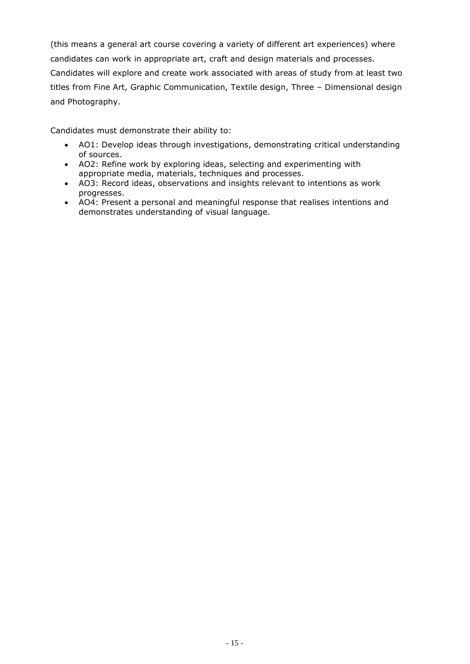(this means a general art course covering a variety of different art experiences) where candidates can work in appropriate art, craft and design materials and processes. Candidates will explore and create work associated with areas of study from at least two titles from Fine Art, Graphic Communication, Textile design, Three – Dimensional design and Photography.

Candidates must demonstrate their ability to:

- AO1: Develop ideas through investigations, demonstrating critical understanding of sources.
- AO2: Refine work by exploring ideas, selecting and experimenting with appropriate media, materials, techniques and processes.
- AO3: Record ideas, observations and insights relevant to intentions as work progresses.
- AO4: Present a personal and meaningful response that realises intentions and demonstrates understanding of visual language.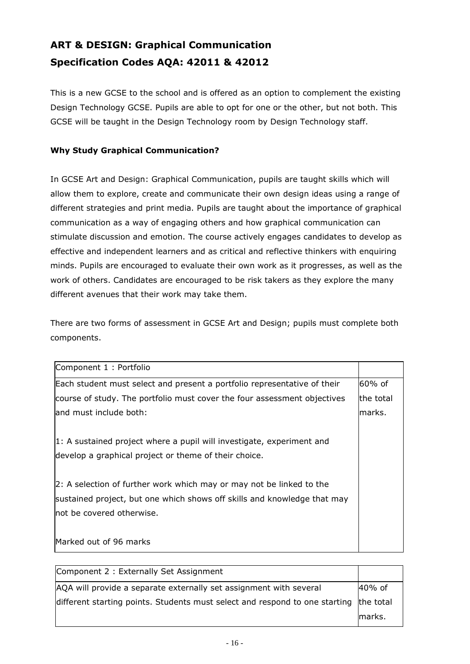# **ART & DESIGN: Graphical Communication Specification Codes AQA: 42011 & 42012**

This is a new GCSE to the school and is offered as an option to complement the existing Design Technology GCSE. Pupils are able to opt for one or the other, but not both. This GCSE will be taught in the Design Technology room by Design Technology staff.

## **Why Study Graphical Communication?**

In GCSE Art and Design: Graphical Communication, pupils are taught skills which will allow them to explore, create and communicate their own design ideas using a range of different strategies and print media. Pupils are taught about the importance of graphical communication as a way of engaging others and how graphical communication can stimulate discussion and emotion. The course actively engages candidates to develop as effective and independent learners and as critical and reflective thinkers with enquiring minds. Pupils are encouraged to evaluate their own work as it progresses, as well as the work of others. Candidates are encouraged to be risk takers as they explore the many different avenues that their work may take them.

There are two forms of assessment in GCSE Art and Design; pupils must complete both components.

| Component 1 : Portfolio                                                  |           |
|--------------------------------------------------------------------------|-----------|
| Each student must select and present a portfolio representative of their | 60% of    |
| course of study. The portfolio must cover the four assessment objectives | the total |
| land must include both:                                                  | lmarks.   |
|                                                                          |           |
| 1: A sustained project where a pupil will investigate, experiment and    |           |
| develop a graphical project or theme of their choice.                    |           |
|                                                                          |           |
| 2: A selection of further work which may or may not be linked to the     |           |
| sustained project, but one which shows off skills and knowledge that may |           |
| lnot be covered otherwise.                                               |           |
|                                                                          |           |
| Marked out of 96 marks                                                   |           |

| Component 2 : Externally Set Assignment                                               |         |
|---------------------------------------------------------------------------------------|---------|
| AQA will provide a separate externally set assignment with several                    | 40% of  |
| different starting points. Students must select and respond to one starting the total |         |
|                                                                                       | lmarks. |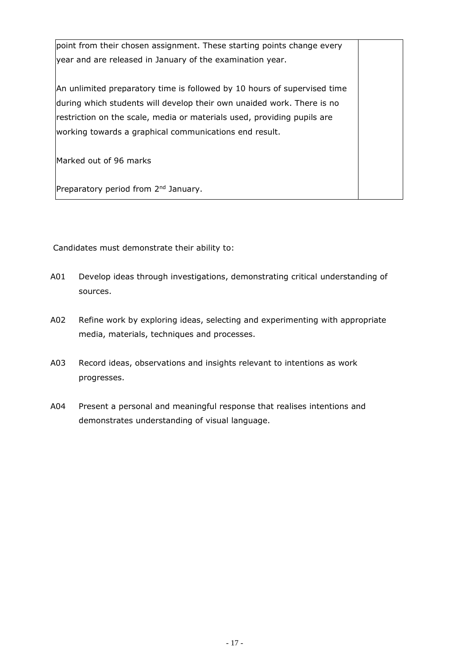point from their chosen assignment. These starting points change every year and are released in January of the examination year.

An unlimited preparatory time is followed by 10 hours of supervised time during which students will develop their own unaided work. There is no restriction on the scale, media or materials used, providing pupils are working towards a graphical communications end result.

Marked out of 96 marks

Preparatory period from 2<sup>nd</sup> January.

Candidates must demonstrate their ability to:

- A01 Develop ideas through investigations, demonstrating critical understanding of sources.
- A02 Refine work by exploring ideas, selecting and experimenting with appropriate media, materials, techniques and processes.
- A03 Record ideas, observations and insights relevant to intentions as work progresses.
- A04 Present a personal and meaningful response that realises intentions and demonstrates understanding of visual language.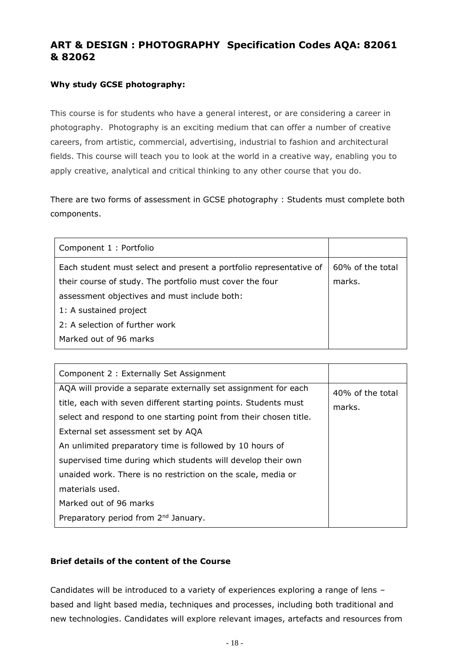# **ART & DESIGN : PHOTOGRAPHY Specification Codes AQA: 82061 & 82062**

## **Why study GCSE photography:**

This course is for students who have a general interest, or are considering a career in photography. Photography is an exciting medium that can offer a number of creative careers, from artistic, commercial, advertising, industrial to fashion and architectural fields. This course will teach you to look at the world in a creative way, enabling you to apply creative, analytical and critical thinking to any other course that you do.

There are two forms of assessment in GCSE photography : Students must complete both components.

| Component 1 : Portfolio                                            |                  |
|--------------------------------------------------------------------|------------------|
| Each student must select and present a portfolio representative of | 60% of the total |
| their course of study. The portfolio must cover the four           | marks.           |
| assessment objectives and must include both:                       |                  |
| 1: A sustained project                                             |                  |
| 2: A selection of further work                                     |                  |
| Marked out of 96 marks                                             |                  |

| Component 2 : Externally Set Assignment                                                                                                                                                                                                                                                                                                                                  |                            |
|--------------------------------------------------------------------------------------------------------------------------------------------------------------------------------------------------------------------------------------------------------------------------------------------------------------------------------------------------------------------------|----------------------------|
| AQA will provide a separate externally set assignment for each<br>title, each with seven different starting points. Students must<br>select and respond to one starting point from their chosen title.<br>External set assessment set by AQA<br>An unlimited preparatory time is followed by 10 hours of<br>supervised time during which students will develop their own | 40% of the total<br>marks. |
| unaided work. There is no restriction on the scale, media or<br>materials used.<br>Marked out of 96 marks<br>Preparatory period from 2 <sup>nd</sup> January.                                                                                                                                                                                                            |                            |

#### **Brief details of the content of the Course**

Candidates will be introduced to a variety of experiences exploring a range of lens – based and light based media, techniques and processes, including both traditional and new technologies. Candidates will explore relevant images, artefacts and resources from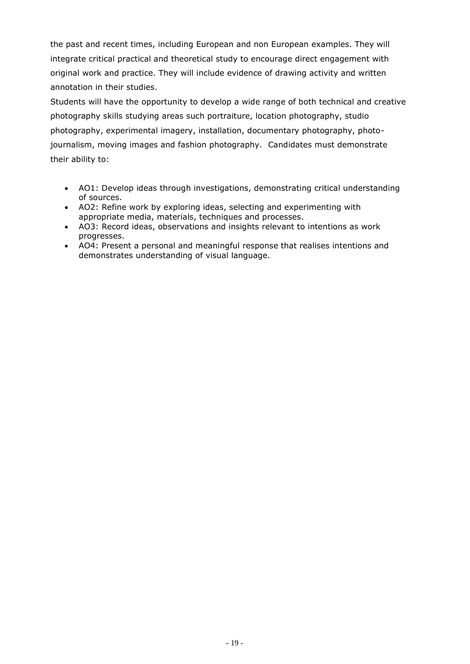the past and recent times, including European and non European examples. They will integrate critical practical and theoretical study to encourage direct engagement with original work and practice. They will include evidence of drawing activity and written annotation in their studies.

Students will have the opportunity to develop a wide range of both technical and creative photography skills studying areas such portraiture, location photography, studio photography, experimental imagery, installation, documentary photography, photojournalism, moving images and fashion photography. Candidates must demonstrate their ability to:

- AO1: Develop ideas through investigations, demonstrating critical understanding of sources.
- AO2: Refine work by exploring ideas, selecting and experimenting with appropriate media, materials, techniques and processes.
- AO3: Record ideas, observations and insights relevant to intentions as work progresses.
- AO4: Present a personal and meaningful response that realises intentions and demonstrates understanding of visual language.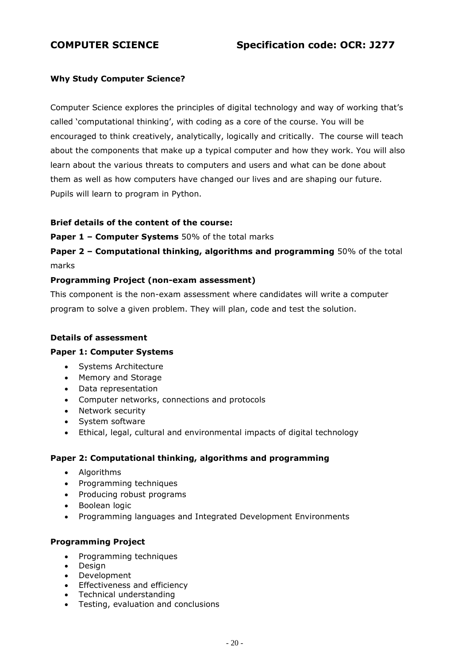## **Why Study Computer Science?**

Computer Science explores the principles of digital technology and way of working that's called 'computational thinking', with coding as a core of the course. You will be encouraged to think creatively, analytically, logically and critically. The course will teach about the components that make up a typical computer and how they work. You will also learn about the various threats to computers and users and what can be done about them as well as how computers have changed our lives and are shaping our future. Pupils will learn to program in Python.

#### **Brief details of the content of the course:**

**Paper 1 – Computer Systems** 50% of the total marks

**Paper 2 – Computational thinking, algorithms and programming** 50% of the total marks

#### **Programming Project (non-exam assessment)**

This component is the non-exam assessment where candidates will write a computer program to solve a given problem. They will plan, code and test the solution.

#### **Details of assessment**

#### **Paper 1: Computer Systems**

- Systems Architecture
- Memory and Storage
- Data representation
- Computer networks, connections and protocols
- Network security
- System software
- Ethical, legal, cultural and environmental impacts of digital technology

#### **Paper 2: Computational thinking, algorithms and programming**

- Algorithms
- Programming techniques
- Producing robust programs
- Boolean logic
- Programming languages and Integrated Development Environments

#### **Programming Project**

- Programming techniques
- Design
- Development
- Effectiveness and efficiency
- Technical understanding
- Testing, evaluation and conclusions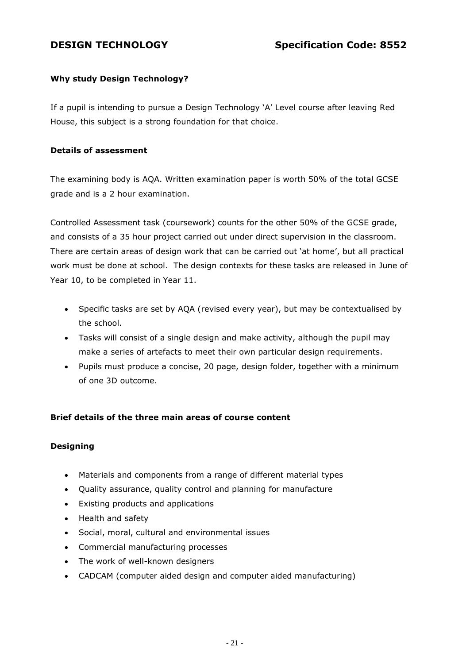# **Why study Design Technology?**

If a pupil is intending to pursue a Design Technology 'A' Level course after leaving Red House, this subject is a strong foundation for that choice.

## **Details of assessment**

The examining body is AQA. Written examination paper is worth 50% of the total GCSE grade and is a 2 hour examination.

Controlled Assessment task (coursework) counts for the other 50% of the GCSE grade, and consists of a 35 hour project carried out under direct supervision in the classroom. There are certain areas of design work that can be carried out 'at home', but all practical work must be done at school. The design contexts for these tasks are released in June of Year 10, to be completed in Year 11.

- Specific tasks are set by AQA (revised every year), but may be contextualised by the school.
- Tasks will consist of a single design and make activity, although the pupil may make a series of artefacts to meet their own particular design requirements.
- Pupils must produce a concise, 20 page, design folder, together with a minimum of one 3D outcome.

## **Brief details of the three main areas of course content**

## **Designing**

- Materials and components from a range of different material types
- Quality assurance, quality control and planning for manufacture
- Existing products and applications
- Health and safety
- Social, moral, cultural and environmental issues
- Commercial manufacturing processes
- The work of well-known designers
- CADCAM (computer aided design and computer aided manufacturing)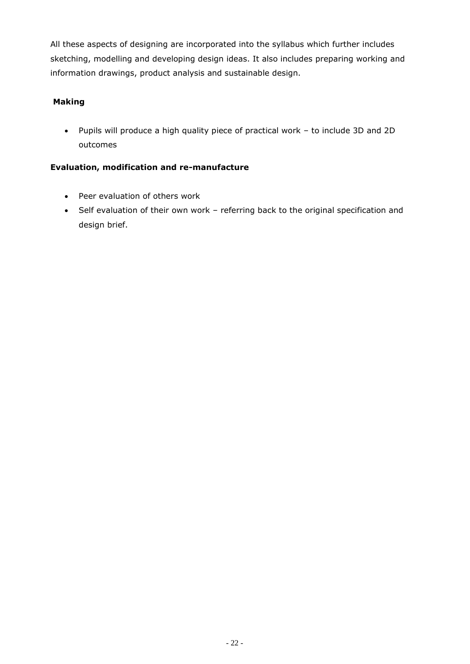All these aspects of designing are incorporated into the syllabus which further includes sketching, modelling and developing design ideas. It also includes preparing working and information drawings, product analysis and sustainable design.

# **Making**

 Pupils will produce a high quality piece of practical work – to include 3D and 2D outcomes

## **Evaluation, modification and re-manufacture**

- Peer evaluation of others work
- Self evaluation of their own work referring back to the original specification and design brief.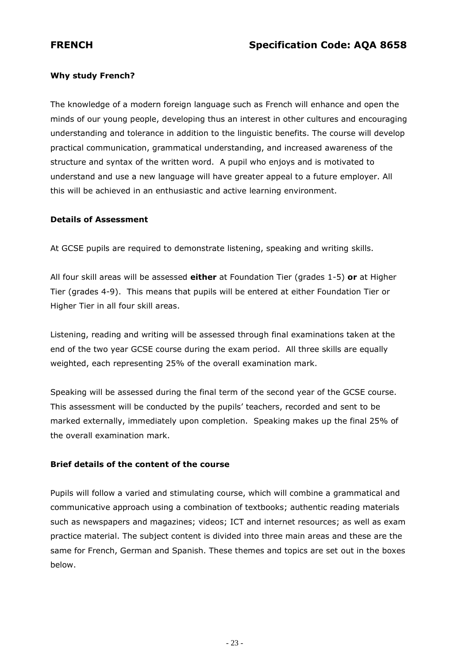## **Why study French?**

The knowledge of a modern foreign language such as French will enhance and open the minds of our young people, developing thus an interest in other cultures and encouraging understanding and tolerance in addition to the linguistic benefits. The course will develop practical communication, grammatical understanding, and increased awareness of the structure and syntax of the written word. A pupil who enjoys and is motivated to understand and use a new language will have greater appeal to a future employer. All this will be achieved in an enthusiastic and active learning environment.

#### **Details of Assessment**

At GCSE pupils are required to demonstrate listening, speaking and writing skills.

All four skill areas will be assessed **either** at Foundation Tier (grades 1-5) **or** at Higher Tier (grades 4-9). This means that pupils will be entered at either Foundation Tier or Higher Tier in all four skill areas.

Listening, reading and writing will be assessed through final examinations taken at the end of the two year GCSE course during the exam period. All three skills are equally weighted, each representing 25% of the overall examination mark.

Speaking will be assessed during the final term of the second year of the GCSE course. This assessment will be conducted by the pupils' teachers, recorded and sent to be marked externally, immediately upon completion. Speaking makes up the final 25% of the overall examination mark.

## **Brief details of the content of the course**

Pupils will follow a varied and stimulating course, which will combine a grammatical and communicative approach using a combination of textbooks; authentic reading materials such as newspapers and magazines; videos; ICT and internet resources; as well as exam practice material. The subject content is divided into three main areas and these are the same for French, German and Spanish. These themes and topics are set out in the boxes below.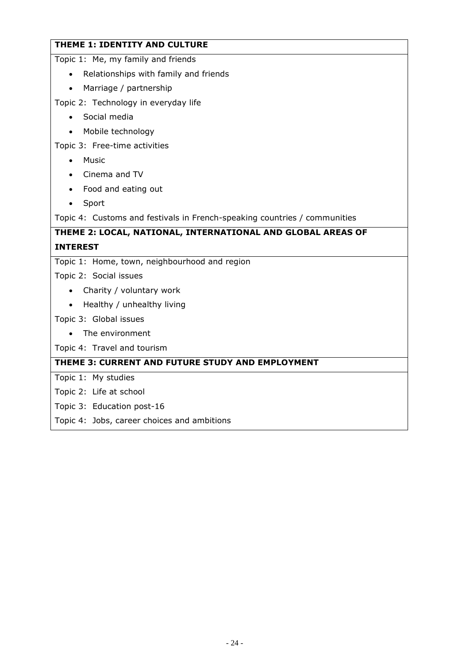# **THEME 1: IDENTITY AND CULTURE**

Topic 1: Me, my family and friends

- Relationships with family and friends
- Marriage / partnership

Topic 2: Technology in everyday life

- Social media
- Mobile technology

Topic 3: Free-time activities

- Music
- Cinema and TV
- Food and eating out
- Sport

Topic 4: Customs and festivals in French-speaking countries / communities

### **THEME 2: LOCAL, NATIONAL, INTERNATIONAL AND GLOBAL AREAS OF**

#### **INTEREST**

Topic 1: Home, town, neighbourhood and region

Topic 2: Social issues

- Charity / voluntary work
- Healthy / unhealthy living

Topic 3: Global issues

• The environment

Topic 4: Travel and tourism

### **THEME 3: CURRENT AND FUTURE STUDY AND EMPLOYMENT**

Topic 1: My studies

Topic 2: Life at school

- Topic 3: Education post-16
- Topic 4: Jobs, career choices and ambitions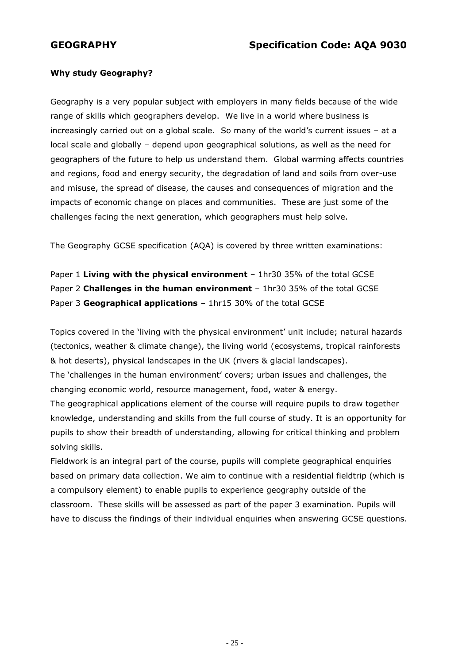#### **Why study Geography?**

Geography is a very popular subject with employers in many fields because of the wide range of skills which geographers develop. We live in a world where business is increasingly carried out on a global scale. So many of the world's current issues – at a local scale and globally – depend upon geographical solutions, as well as the need for geographers of the future to help us understand them. Global warming affects countries and regions, food and energy security, the degradation of land and soils from over-use and misuse, the spread of disease, the causes and consequences of migration and the impacts of economic change on places and communities. These are just some of the challenges facing the next generation, which geographers must help solve.

The Geography GCSE specification (AQA) is covered by three written examinations:

Paper 1 **Living with the physical environment** – 1hr30 35% of the total GCSE Paper 2 **Challenges in the human environment** – 1hr30 35% of the total GCSE Paper 3 **Geographical applications** – 1hr15 30% of the total GCSE

Topics covered in the 'living with the physical environment' unit include; natural hazards (tectonics, weather & climate change), the living world (ecosystems, tropical rainforests & hot deserts), physical landscapes in the UK (rivers & glacial landscapes). The 'challenges in the human environment' covers; urban issues and challenges, the changing economic world, resource management, food, water & energy. The geographical applications element of the course will require pupils to draw together knowledge, understanding and skills from the full course of study. It is an opportunity for pupils to show their breadth of understanding, allowing for critical thinking and problem solving skills.

Fieldwork is an integral part of the course, pupils will complete geographical enquiries based on primary data collection. We aim to continue with a residential fieldtrip (which is a compulsory element) to enable pupils to experience geography outside of the classroom. These skills will be assessed as part of the paper 3 examination. Pupils will have to discuss the findings of their individual enquiries when answering GCSE questions.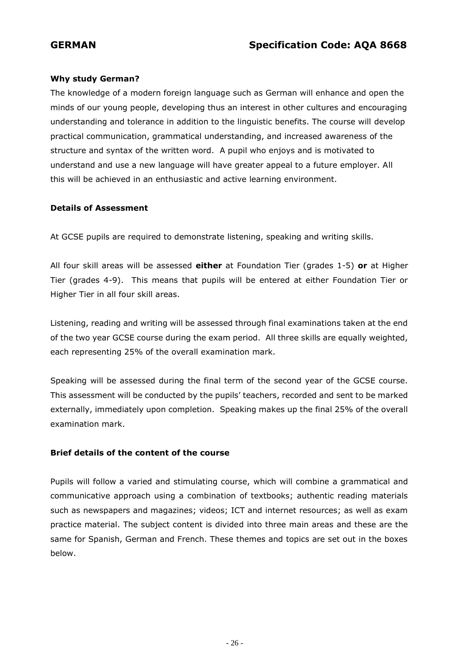### **Why study German?**

The knowledge of a modern foreign language such as German will enhance and open the minds of our young people, developing thus an interest in other cultures and encouraging understanding and tolerance in addition to the linguistic benefits. The course will develop practical communication, grammatical understanding, and increased awareness of the structure and syntax of the written word. A pupil who enjoys and is motivated to understand and use a new language will have greater appeal to a future employer. All this will be achieved in an enthusiastic and active learning environment.

#### **Details of Assessment**

At GCSE pupils are required to demonstrate listening, speaking and writing skills.

All four skill areas will be assessed **either** at Foundation Tier (grades 1-5) **or** at Higher Tier (grades 4-9). This means that pupils will be entered at either Foundation Tier or Higher Tier in all four skill areas.

Listening, reading and writing will be assessed through final examinations taken at the end of the two year GCSE course during the exam period. All three skills are equally weighted, each representing 25% of the overall examination mark.

Speaking will be assessed during the final term of the second year of the GCSE course. This assessment will be conducted by the pupils' teachers, recorded and sent to be marked externally, immediately upon completion. Speaking makes up the final 25% of the overall examination mark.

#### **Brief details of the content of the course**

Pupils will follow a varied and stimulating course, which will combine a grammatical and communicative approach using a combination of textbooks; authentic reading materials such as newspapers and magazines; videos; ICT and internet resources; as well as exam practice material. The subject content is divided into three main areas and these are the same for Spanish, German and French. These themes and topics are set out in the boxes below.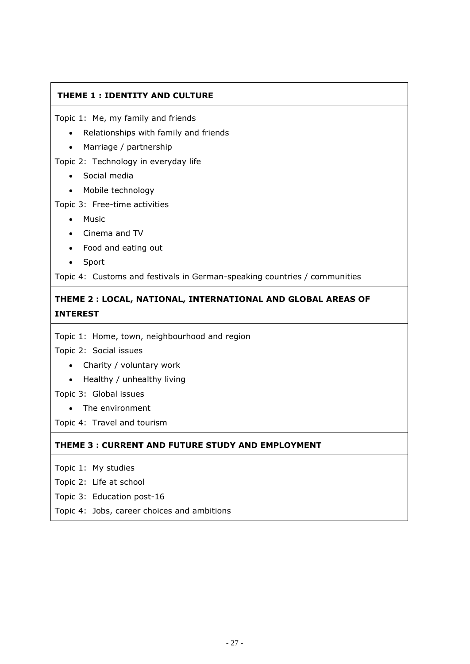# **THEME 1 : IDENTITY AND CULTURE**

Topic 1: Me, my family and friends

- Relationships with family and friends
- Marriage / partnership

Topic 2: Technology in everyday life

- Social media
- Mobile technology

Topic 3: Free-time activities

- Music
- Cinema and TV
- Food and eating out
- Sport

Topic 4: Customs and festivals in German-speaking countries / communities

# **THEME 2 : LOCAL, NATIONAL, INTERNATIONAL AND GLOBAL AREAS OF INTEREST**

Topic 1: Home, town, neighbourhood and region

Topic 2: Social issues

- Charity / voluntary work
- Healthy / unhealthy living
- Topic 3: Global issues
	- The environment

Topic 4: Travel and tourism

#### **THEME 3 : CURRENT AND FUTURE STUDY AND EMPLOYMENT**

Topic 1: My studies

Topic 2: Life at school

Topic 3: Education post-16

Topic 4: Jobs, career choices and ambitions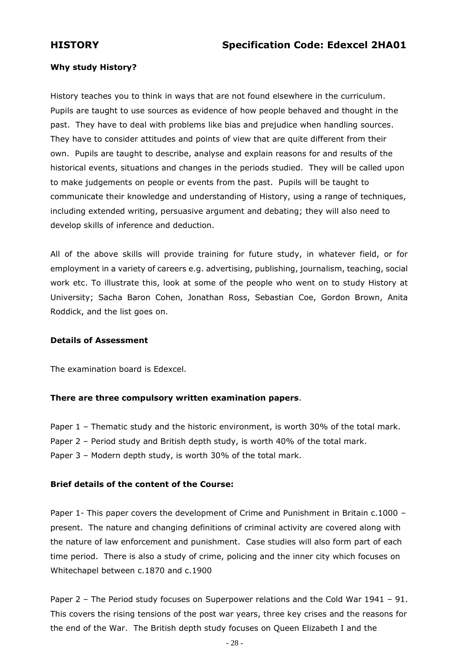### **Why study History?**

History teaches you to think in ways that are not found elsewhere in the curriculum. Pupils are taught to use sources as evidence of how people behaved and thought in the past. They have to deal with problems like bias and prejudice when handling sources. They have to consider attitudes and points of view that are quite different from their own. Pupils are taught to describe, analyse and explain reasons for and results of the historical events, situations and changes in the periods studied. They will be called upon to make judgements on people or events from the past. Pupils will be taught to communicate their knowledge and understanding of History, using a range of techniques, including extended writing, persuasive argument and debating; they will also need to develop skills of inference and deduction.

All of the above skills will provide training for future study, in whatever field, or for employment in a variety of careers e.g. advertising, publishing, journalism, teaching, social work etc. To illustrate this, look at some of the people who went on to study History at University; Sacha Baron Cohen, Jonathan Ross, Sebastian Coe, Gordon Brown, Anita Roddick, and the list goes on.

#### **Details of Assessment**

The examination board is Edexcel.

#### **There are three compulsory written examination papers**.

Paper 1 - Thematic study and the historic environment, is worth 30% of the total mark.

Paper 2 – Period study and British depth study, is worth 40% of the total mark.

Paper 3 – Modern depth study, is worth 30% of the total mark.

#### **Brief details of the content of the Course:**

Paper 1- This paper covers the development of Crime and Punishment in Britain c.1000 present. The nature and changing definitions of criminal activity are covered along with the nature of law enforcement and punishment. Case studies will also form part of each time period. There is also a study of crime, policing and the inner city which focuses on Whitechapel between c.1870 and c.1900

Paper 2 – The Period study focuses on Superpower relations and the Cold War 1941 – 91. This covers the rising tensions of the post war years, three key crises and the reasons for the end of the War. The British depth study focuses on Queen Elizabeth I and the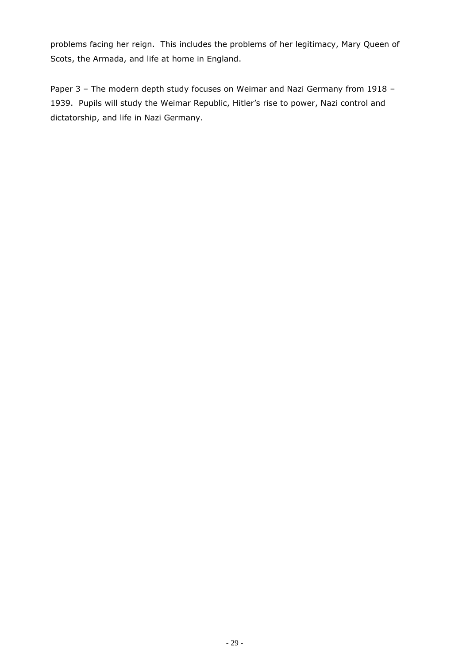problems facing her reign. This includes the problems of her legitimacy, Mary Queen of Scots, the Armada, and life at home in England.

Paper 3 - The modern depth study focuses on Weimar and Nazi Germany from 1918 -1939. Pupils will study the Weimar Republic, Hitler's rise to power, Nazi control and dictatorship, and life in Nazi Germany.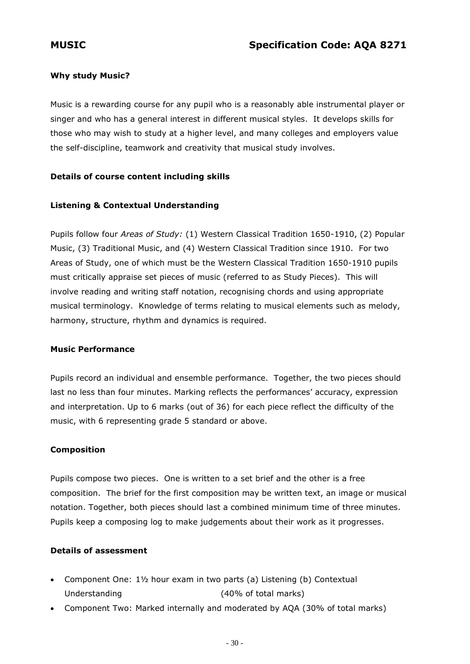## **Why study Music?**

Music is a rewarding course for any pupil who is a reasonably able instrumental player or singer and who has a general interest in different musical styles. It develops skills for those who may wish to study at a higher level, and many colleges and employers value the self-discipline, teamwork and creativity that musical study involves.

## **Details of course content including skills**

## **Listening & Contextual Understanding**

Pupils follow four *Areas of Study:* (1) Western Classical Tradition 1650-1910, (2) Popular Music, (3) Traditional Music, and (4) Western Classical Tradition since 1910. For two Areas of Study, one of which must be the Western Classical Tradition 1650-1910 pupils must critically appraise set pieces of music (referred to as Study Pieces). This will involve reading and writing staff notation, recognising chords and using appropriate musical terminology. Knowledge of terms relating to musical elements such as melody, harmony, structure, rhythm and dynamics is required.

#### **Music Performance**

Pupils record an individual and ensemble performance. Together, the two pieces should last no less than four minutes. Marking reflects the performances' accuracy, expression and interpretation. Up to 6 marks (out of 36) for each piece reflect the difficulty of the music, with 6 representing grade 5 standard or above.

#### **Composition**

Pupils compose two pieces. One is written to a set brief and the other is a free composition. The brief for the first composition may be written text, an image or musical notation. Together, both pieces should last a combined minimum time of three minutes. Pupils keep a composing log to make judgements about their work as it progresses.

#### **Details of assessment**

- Component One: 1½ hour exam in two parts (a) Listening (b) Contextual Understanding (40% of total marks)
- Component Two: Marked internally and moderated by AQA (30% of total marks)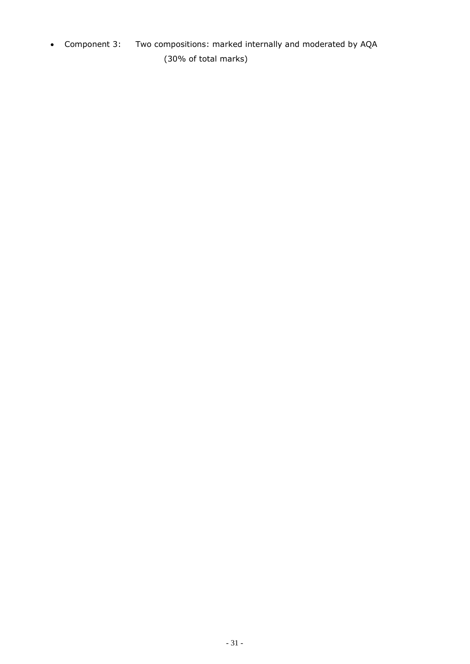Component 3: Two compositions: marked internally and moderated by AQA (30% of total marks)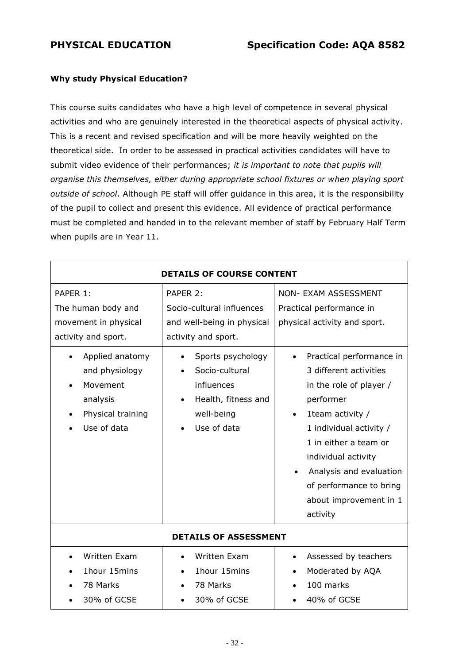#### **Why study Physical Education?**

This course suits candidates who have a high level of competence in several physical activities and who are genuinely interested in the theoretical aspects of physical activity. This is a recent and revised specification and will be more heavily weighted on the theoretical side. In order to be assessed in practical activities candidates will have to submit video evidence of their performances; *it is important to note that pupils will organise this themselves, either during appropriate school fixtures or when playing sport outside of school*. Although PE staff will offer guidance in this area, it is the responsibility of the pupil to collect and present this evidence. All evidence of practical performance must be completed and handed in to the relevant member of staff by February Half Term when pupils are in Year 11.

| <b>DETAILS OF COURSE CONTENT</b>                                                                                                                                               |                                                                                                                                                                                                     |                                                                                                                                                                                                                                                                                                                                                                                   |
|--------------------------------------------------------------------------------------------------------------------------------------------------------------------------------|-----------------------------------------------------------------------------------------------------------------------------------------------------------------------------------------------------|-----------------------------------------------------------------------------------------------------------------------------------------------------------------------------------------------------------------------------------------------------------------------------------------------------------------------------------------------------------------------------------|
| PAPER 1:<br>The human body and<br>movement in physical<br>activity and sport.<br>Applied anatomy<br>and physiology<br>Movement<br>analysis<br>Physical training<br>Use of data | PAPER 2:<br>Socio-cultural influences<br>and well-being in physical<br>activity and sport.<br>Sports psychology<br>Socio-cultural<br>influences<br>Health, fitness and<br>well-being<br>Use of data | <b>NON- EXAM ASSESSMENT</b><br>Practical performance in<br>physical activity and sport.<br>Practical performance in<br>3 different activities<br>in the role of player /<br>performer<br>1 team activity /<br>1 individual activity /<br>1 in either a team or<br>individual activity<br>Analysis and evaluation<br>of performance to bring<br>about improvement in 1<br>activity |
| <b>DETAILS OF ASSESSMENT</b>                                                                                                                                                   |                                                                                                                                                                                                     |                                                                                                                                                                                                                                                                                                                                                                                   |
| Written Exam<br>1hour 15mins<br>78 Marks<br>30% of GCSE                                                                                                                        | Written Exam<br>1hour 15mins<br>78 Marks<br>30% of GCSE                                                                                                                                             | Assessed by teachers<br>$\bullet$<br>Moderated by AQA<br>100 marks<br>40% of GCSE                                                                                                                                                                                                                                                                                                 |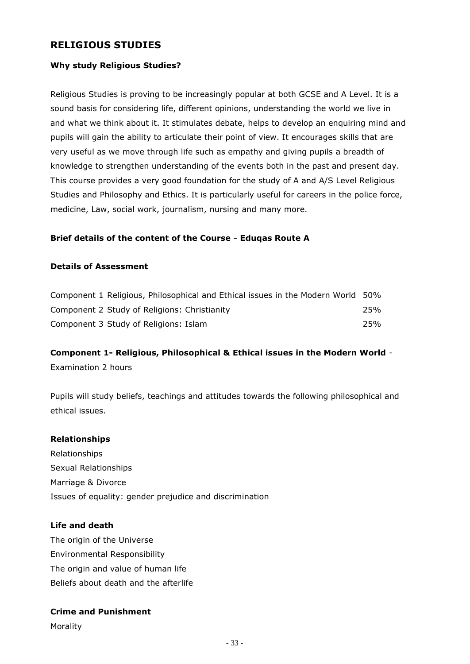# **RELIGIOUS STUDIES**

#### **Why study Religious Studies?**

Religious Studies is proving to be increasingly popular at both GCSE and A Level. It is a sound basis for considering life, different opinions, understanding the world we live in and what we think about it. It stimulates debate, helps to develop an enquiring mind and pupils will gain the ability to articulate their point of view. It encourages skills that are very useful as we move through life such as empathy and giving pupils a breadth of knowledge to strengthen understanding of the events both in the past and present day. This course provides a very good foundation for the study of A and A/S Level Religious Studies and Philosophy and Ethics. It is particularly useful for careers in the police force, medicine, Law, social work, journalism, nursing and many more.

#### **Brief details of the content of the Course - Eduqas Route A**

#### **Details of Assessment**

| Component 1 Religious, Philosophical and Ethical issues in the Modern World 50% |     |
|---------------------------------------------------------------------------------|-----|
| Component 2 Study of Religions: Christianity                                    | 25% |
| Component 3 Study of Religions: Islam                                           | 25% |

# **Component 1- Religious, Philosophical & Ethical issues in the Modern World** - Examination 2 hours

Pupils will study beliefs, teachings and attitudes towards the following philosophical and ethical issues.

#### **Relationships**

Relationships Sexual Relationships Marriage & Divorce Issues of equality: gender prejudice and discrimination

#### **Life and death**

The origin of the Universe Environmental Responsibility The origin and value of human life Beliefs about death and the afterlife

#### **Crime and Punishment**

Morality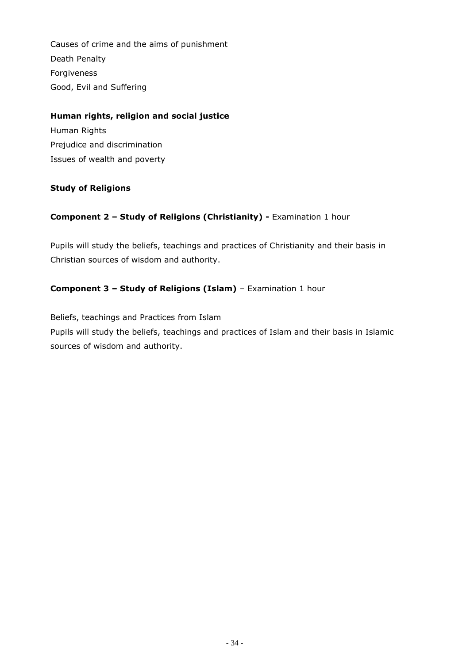Causes of crime and the aims of punishment Death Penalty Forgiveness Good, Evil and Suffering

# **Human rights, religion and social justice**

Human Rights Prejudice and discrimination Issues of wealth and poverty

## **Study of Religions**

## **Component 2 – Study of Religions (Christianity) -** Examination 1 hour

Pupils will study the beliefs, teachings and practices of Christianity and their basis in Christian sources of wisdom and authority.

## **Component 3 – Study of Religions (Islam)** – Examination 1 hour

Beliefs, teachings and Practices from Islam Pupils will study the beliefs, teachings and practices of Islam and their basis in Islamic sources of wisdom and authority.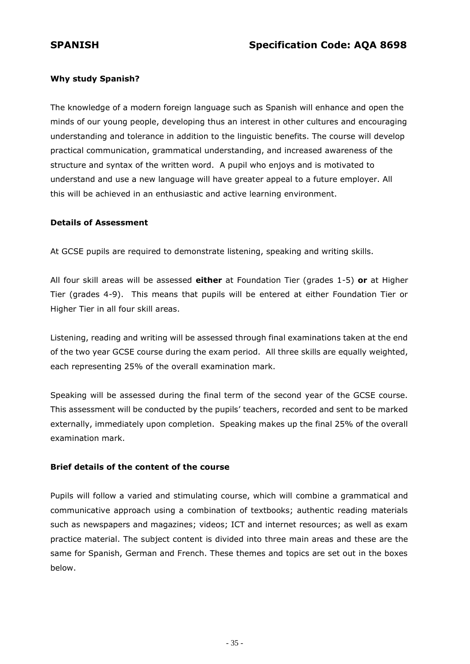## **Why study Spanish?**

The knowledge of a modern foreign language such as Spanish will enhance and open the minds of our young people, developing thus an interest in other cultures and encouraging understanding and tolerance in addition to the linguistic benefits. The course will develop practical communication, grammatical understanding, and increased awareness of the structure and syntax of the written word. A pupil who enjoys and is motivated to understand and use a new language will have greater appeal to a future employer. All this will be achieved in an enthusiastic and active learning environment.

#### **Details of Assessment**

At GCSE pupils are required to demonstrate listening, speaking and writing skills.

All four skill areas will be assessed **either** at Foundation Tier (grades 1-5) **or** at Higher Tier (grades 4-9). This means that pupils will be entered at either Foundation Tier or Higher Tier in all four skill areas.

Listening, reading and writing will be assessed through final examinations taken at the end of the two year GCSE course during the exam period. All three skills are equally weighted, each representing 25% of the overall examination mark.

Speaking will be assessed during the final term of the second year of the GCSE course. This assessment will be conducted by the pupils' teachers, recorded and sent to be marked externally, immediately upon completion. Speaking makes up the final 25% of the overall examination mark.

#### **Brief details of the content of the course**

Pupils will follow a varied and stimulating course, which will combine a grammatical and communicative approach using a combination of textbooks; authentic reading materials such as newspapers and magazines; videos; ICT and internet resources; as well as exam practice material. The subject content is divided into three main areas and these are the same for Spanish, German and French. These themes and topics are set out in the boxes below.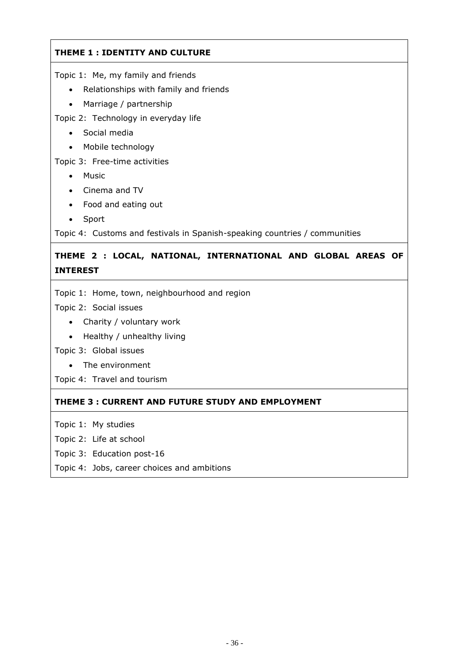# **THEME 1 : IDENTITY AND CULTURE**

Topic 1: Me, my family and friends

- Relationships with family and friends
- Marriage / partnership

Topic 2: Technology in everyday life

- Social media
- Mobile technology

Topic 3: Free-time activities

- Music
- Cinema and TV
- Food and eating out
- Sport

Topic 4: Customs and festivals in Spanish-speaking countries / communities

# **THEME 2 : LOCAL, NATIONAL, INTERNATIONAL AND GLOBAL AREAS OF INTEREST**

Topic 1: Home, town, neighbourhood and region

Topic 2: Social issues

- Charity / voluntary work
- Healthy / unhealthy living

Topic 3: Global issues

The environment

Topic 4: Travel and tourism

# **THEME 3 : CURRENT AND FUTURE STUDY AND EMPLOYMENT**

Topic 1: My studies

- Topic 2: Life at school
- Topic 3: Education post-16
- Topic 4: Jobs, career choices and ambitions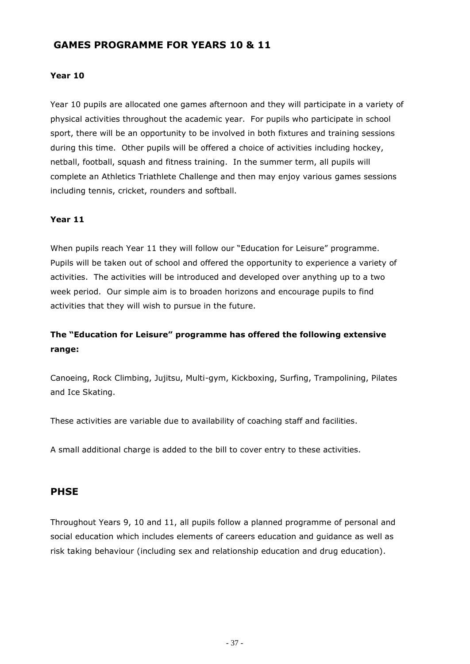# **GAMES PROGRAMME FOR YEARS 10 & 11**

#### **Year 10**

Year 10 pupils are allocated one games afternoon and they will participate in a variety of physical activities throughout the academic year. For pupils who participate in school sport, there will be an opportunity to be involved in both fixtures and training sessions during this time. Other pupils will be offered a choice of activities including hockey, netball, football, squash and fitness training. In the summer term, all pupils will complete an Athletics Triathlete Challenge and then may enjoy various games sessions including tennis, cricket, rounders and softball.

#### **Year 11**

When pupils reach Year 11 they will follow our "Education for Leisure" programme. Pupils will be taken out of school and offered the opportunity to experience a variety of activities. The activities will be introduced and developed over anything up to a two week period. Our simple aim is to broaden horizons and encourage pupils to find activities that they will wish to pursue in the future.

# **The "Education for Leisure" programme has offered the following extensive range:**

Canoeing, Rock Climbing, Jujitsu, Multi-gym, Kickboxing, Surfing, Trampolining, Pilates and Ice Skating.

These activities are variable due to availability of coaching staff and facilities.

A small additional charge is added to the bill to cover entry to these activities.

#### **PHSE**

Throughout Years 9, 10 and 11, all pupils follow a planned programme of personal and social education which includes elements of careers education and guidance as well as risk taking behaviour (including sex and relationship education and drug education).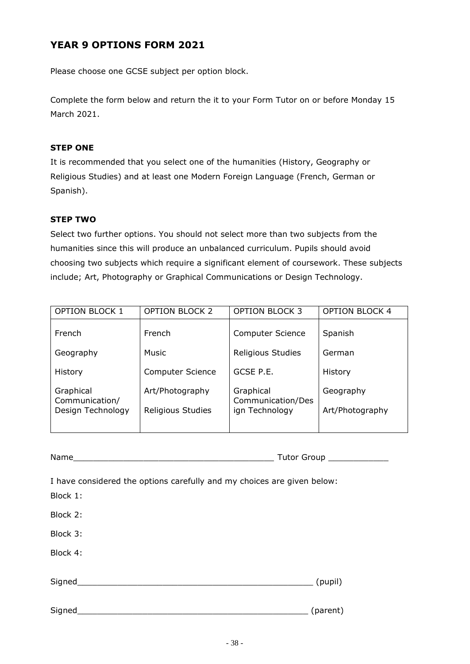# **YEAR 9 OPTIONS FORM 2021**

Please choose one GCSE subject per option block.

Complete the form below and return the it to your Form Tutor on or before Monday 15 March 2021.

#### **STEP ONE**

It is recommended that you select one of the humanities (History, Geography or Religious Studies) and at least one Modern Foreign Language (French, German or Spanish).

#### **STEP TWO**

Select two further options. You should not select more than two subjects from the humanities since this will produce an unbalanced curriculum. Pupils should avoid choosing two subjects which require a significant element of coursework. These subjects include; Art, Photography or Graphical Communications or Design Technology.

| <b>OPTION BLOCK 1</b>               | <b>OPTION BLOCK 2</b>   | <b>OPTION BLOCK 3</b>               | <b>OPTION BLOCK 4</b> |
|-------------------------------------|-------------------------|-------------------------------------|-----------------------|
| French                              | <b>French</b>           | <b>Computer Science</b>             | Spanish               |
| Geography                           | Music                   | Religious Studies                   | German                |
| History                             | <b>Computer Science</b> | GCSE P.E.                           | History               |
| Graphical                           | Art/Photography         | Graphical                           | Geography             |
| Communication/<br>Design Technology | Religious Studies       | Communication/Des<br>ign Technology | Art/Photography       |
|                                     |                         |                                     |                       |

| Name | Tutor Gi<br>Group |
|------|-------------------|

I have considered the options carefully and my choices are given below:

Block 1: Block 2: Block 3: Block 4: Signed\_\_\_\_\_\_\_\_\_\_\_\_\_\_\_\_\_\_\_\_\_\_\_\_\_\_\_\_\_\_\_\_\_\_\_\_\_\_\_\_\_\_\_\_\_\_\_ (pupil) Signed\_\_\_\_\_\_\_\_\_\_\_\_\_\_\_\_\_\_\_\_\_\_\_\_\_\_\_\_\_\_\_\_\_\_\_\_\_\_\_\_\_\_\_\_\_\_ (parent)